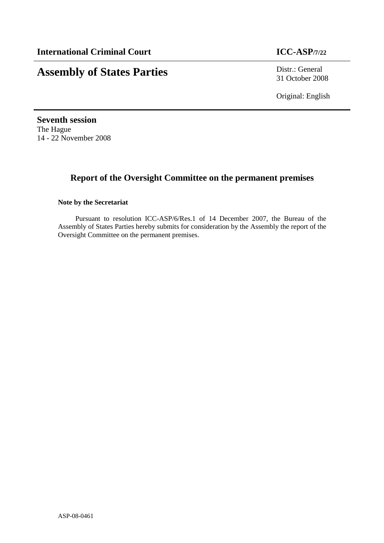# **Assembly of States Parties** Distr.: General

31 October 2008

Original: English

**Seventh session**  The Hague 14 - 22 November 2008

# **Report of the Oversight Committee on the permanent premises**

# **Note by the Secretariat**

Pursuant to resolution ICC-ASP/6/Res.1 of 14 December 2007, the Bureau of the Assembly of States Parties hereby submits for consideration by the Assembly the report of the Oversight Committee on the permanent premises.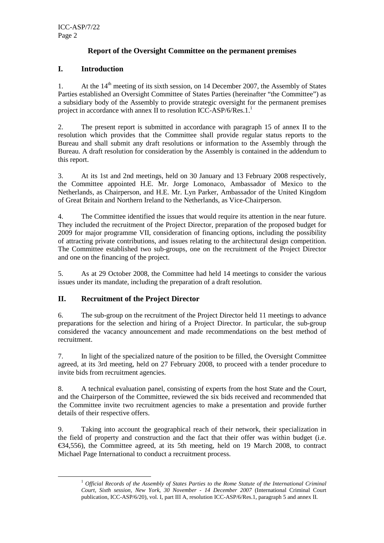# **Report of the Oversight Committee on the permanent premises**

# **I. Introduction**

1. At the  $14<sup>th</sup>$  meeting of its sixth session, on 14 December 2007, the Assembly of States Parties established an Oversight Committee of States Parties (hereinafter "the Committee") as a subsidiary body of the Assembly to provide strategic oversight for the permanent premises project in accordance with annex II to resolution ICC-ASP/6/Res.1. $^1$ 

2. The present report is submitted in accordance with paragraph 15 of annex II to the resolution which provides that the Committee shall provide regular status reports to the Bureau and shall submit any draft resolutions or information to the Assembly through the Bureau. A draft resolution for consideration by the Assembly is contained in the addendum to this report.

3. At its 1st and 2nd meetings, held on 30 January and 13 February 2008 respectively, the Committee appointed H.E. Mr. Jorge Lomonaco, Ambassador of Mexico to the Netherlands, as Chairperson, and H.E. Mr. Lyn Parker, Ambassador of the United Kingdom of Great Britain and Northern Ireland to the Netherlands, as Vice-Chairperson.

4. The Committee identified the issues that would require its attention in the near future. They included the recruitment of the Project Director, preparation of the proposed budget for 2009 for major programme VII, consideration of financing options, including the possibility of attracting private contributions, and issues relating to the architectural design competition. The Committee established two sub-groups, one on the recruitment of the Project Director and one on the financing of the project.

5. As at 29 October 2008, the Committee had held 14 meetings to consider the various issues under its mandate, including the preparation of a draft resolution.

# **II. Recruitment of the Project Director**

 $\overline{a}$ 

6. The sub-group on the recruitment of the Project Director held 11 meetings to advance preparations for the selection and hiring of a Project Director. In particular, the sub-group considered the vacancy announcement and made recommendations on the best method of recruitment.

7. In light of the specialized nature of the position to be filled, the Oversight Committee agreed, at its 3rd meeting, held on 27 February 2008, to proceed with a tender procedure to invite bids from recruitment agencies.

8. A technical evaluation panel, consisting of experts from the host State and the Court, and the Chairperson of the Committee, reviewed the six bids received and recommended that the Committee invite two recruitment agencies to make a presentation and provide further details of their respective offers.

9. Taking into account the geographical reach of their network, their specialization in the field of property and construction and the fact that their offer was within budget (i.e. €34,556), the Committee agreed, at its 5th meeting, held on 19 March 2008, to contract Michael Page International to conduct a recruitment process.

<sup>1</sup> *Official Records of the Assembly of States Parties to the Rome Statute of the International Criminal Court, Sixth session, New York, 30 November - 14 December 2007* (International Criminal Court publication, ICC-ASP/6/20), vol. I, part III A, resolution ICC-ASP/6/Res.1, paragraph 5 and annex II.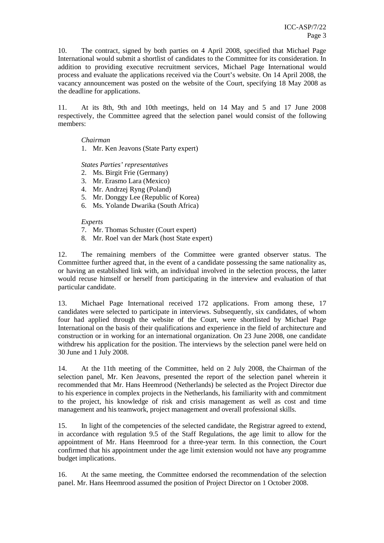10. The contract, signed by both parties on 4 April 2008, specified that Michael Page International would submit a shortlist of candidates to the Committee for its consideration. In addition to providing executive recruitment services, Michael Page International would process and evaluate the applications received via the Court's website. On 14 April 2008, the vacancy announcement was posted on the website of the Court, specifying 18 May 2008 as the deadline for applications.

11. At its 8th, 9th and 10th meetings, held on 14 May and 5 and 17 June 2008 respectively, the Committee agreed that the selection panel would consist of the following members:

#### *Chairman*

1. Mr. Ken Jeavons (State Party expert)

#### *States Parties' representatives*

- 2. Ms. Birgit Frie (Germany)
- 3. Mr. Erasmo Lara (Mexico)
- 4. Mr. Andrzej Ryng (Poland)
- 5. Mr. Donggy Lee (Republic of Korea)
- 6. Ms. Yolande Dwarika (South Africa)

#### *Experts*

- 7. Mr. Thomas Schuster (Court expert)
- 8. Mr. Roel van der Mark (host State expert)

12. The remaining members of the Committee were granted observer status. The Committee further agreed that, in the event of a candidate possessing the same nationality as, or having an established link with, an individual involved in the selection process, the latter would recuse himself or herself from participating in the interview and evaluation of that particular candidate.

13. Michael Page International received 172 applications. From among these, 17 candidates were selected to participate in interviews. Subsequently, six candidates, of whom four had applied through the website of the Court, were shortlisted by Michael Page International on the basis of their qualifications and experience in the field of architecture and construction or in working for an international organization. On 23 June 2008, one candidate withdrew his application for the position. The interviews by the selection panel were held on 30 June and 1 July 2008.

14. At the 11th meeting of the Committee, held on 2 July 2008, the Chairman of the selection panel, Mr. Ken Jeavons, presented the report of the selection panel wherein it recommended that Mr. Hans Heemrood (Netherlands) be selected as the Project Director due to his experience in complex projects in the Netherlands, his familiarity with and commitment to the project, his knowledge of risk and crisis management as well as cost and time management and his teamwork, project management and overall professional skills.

15. In light of the competencies of the selected candidate, the Registrar agreed to extend, in accordance with regulation 9.5 of the Staff Regulations, the age limit to allow for the appointment of Mr. Hans Heemrood for a three-year term. In this connection, the Court confirmed that his appointment under the age limit extension would not have any programme budget implications.

16. At the same meeting, the Committee endorsed the recommendation of the selection panel. Mr. Hans Heemrood assumed the position of Project Director on 1 October 2008.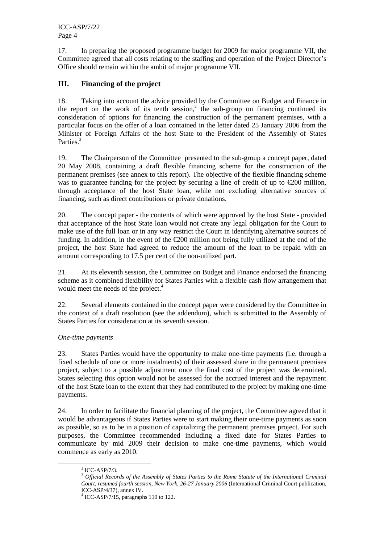ICC-ASP/7/22 Page 4

17. In preparing the proposed programme budget for 2009 for major programme VII, the Committee agreed that all costs relating to the staffing and operation of the Project Director's Office should remain within the ambit of major programme VII.

# **III. Financing of the project**

18. Taking into account the advice provided by the Committee on Budget and Finance in the report on the work of its tenth session,<sup>2</sup> the sub-group on financing continued its consideration of options for financing the construction of the permanent premises, with a particular focus on the offer of a loan contained in the letter dated 25 January 2006 from the Minister of Foreign Affairs of the host State to the President of the Assembly of States Parties.<sup>3</sup>

19. The Chairperson of the Committee presented to the sub-group a concept paper, dated 20 May 2008, containing a draft flexible financing scheme for the construction of the permanent premises (see annex to this report). The objective of the flexible financing scheme was to guarantee funding for the project by securing a line of credit of up to  $\epsilon$ 200 million, through acceptance of the host State loan, while not excluding alternative sources of financing, such as direct contributions or private donations.

20. The concept paper - the contents of which were approved by the host State - provided that acceptance of the host State loan would not create any legal obligation for the Court to make use of the full loan or in any way restrict the Court in identifying alternative sources of funding. In addition, in the event of the  $\epsilon$ 200 million not being fully utilized at the end of the project, the host State had agreed to reduce the amount of the loan to be repaid with an amount corresponding to 17.5 per cent of the non-utilized part.

21. At its eleventh session, the Committee on Budget and Finance endorsed the financing scheme as it combined flexibility for States Parties with a flexible cash flow arrangement that would meet the needs of the project.<sup>4</sup>

22. Several elements contained in the concept paper were considered by the Committee in the context of a draft resolution (see the addendum), which is submitted to the Assembly of States Parties for consideration at its seventh session.

# *One-time payments*

23. States Parties would have the opportunity to make one-time payments (i.e. through a fixed schedule of one or more instalments) of their assessed share in the permanent premises project, subject to a possible adjustment once the final cost of the project was determined. States selecting this option would not be assessed for the accrued interest and the repayment of the host State loan to the extent that they had contributed to the project by making one-time payments.

24. In order to facilitate the financial planning of the project, the Committee agreed that it would be advantageous if States Parties were to start making their one-time payments as soon as possible, so as to be in a position of capitalizing the permanent premises project. For such purposes, the Committee recommended including a fixed date for States Parties to communicate by mid 2009 their decision to make one-time payments, which would commence as early as 2010.

 $\overline{a}$ 

 $<sup>2</sup>$  ICC-ASP/7/3.</sup>

<sup>3</sup> *Official Records of the Assembly of States Parties to the Rome Statute of the International Criminal Court, resumed fourth session, New York, 26-27 January 2006* (International Criminal Court publication, ICC-ASP/4/37), annex IV.

<sup>4</sup> ICC-ASP/7/15, paragraphs 110 to 122.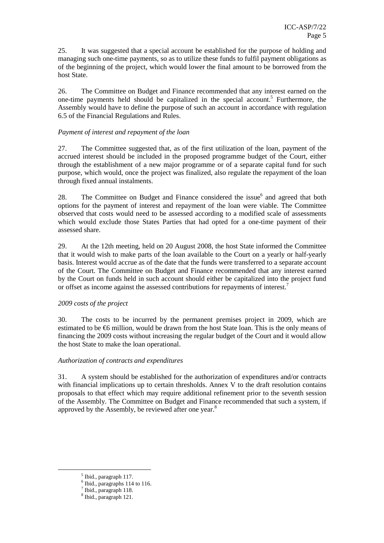25. It was suggested that a special account be established for the purpose of holding and managing such one-time payments, so as to utilize these funds to fulfil payment obligations as of the beginning of the project, which would lower the final amount to be borrowed from the host State.

26. The Committee on Budget and Finance recommended that any interest earned on the one-time payments held should be capitalized in the special account.<sup>5</sup> Furthermore, the Assembly would have to define the purpose of such an account in accordance with regulation 6.5 of the Financial Regulations and Rules.

#### *Payment of interest and repayment of the loan*

27. The Committee suggested that, as of the first utilization of the loan, payment of the accrued interest should be included in the proposed programme budget of the Court, either through the establishment of a new major programme or of a separate capital fund for such purpose, which would, once the project was finalized, also regulate the repayment of the loan through fixed annual instalments.

28. The Committee on Budget and Finance considered the issue<sup>6</sup> and agreed that both options for the payment of interest and repayment of the loan were viable. The Committee observed that costs would need to be assessed according to a modified scale of assessments which would exclude those States Parties that had opted for a one-time payment of their assessed share.

29. At the 12th meeting, held on 20 August 2008, the host State informed the Committee that it would wish to make parts of the loan available to the Court on a yearly or half-yearly basis. Interest would accrue as of the date that the funds were transferred to a separate account of the Court. The Committee on Budget and Finance recommended that any interest earned by the Court on funds held in such account should either be capitalized into the project fund or offset as income against the assessed contributions for repayments of interest.<sup>7</sup>

#### *2009 costs of the project*

30. The costs to be incurred by the permanent premises project in 2009, which are estimated to be  $\epsilon$ 6 million, would be drawn from the host State loan. This is the only means of financing the 2009 costs without increasing the regular budget of the Court and it would allow the host State to make the loan operational.

#### *Authorization of contracts and expenditures*

31. A system should be established for the authorization of expenditures and/or contracts with financial implications up to certain thresholds. Annex V to the draft resolution contains proposals to that effect which may require additional refinement prior to the seventh session of the Assembly. The Committee on Budget and Finance recommended that such a system, if approved by the Assembly, be reviewed after one year.<sup>8</sup>

 $\overline{a}$ 

<sup>5</sup> Ibid., paragraph 117.

<sup>6</sup> Ibid., paragraphs 114 to 116.

<sup>7</sup> Ibid., paragraph 118.

<sup>8</sup> Ibid., paragraph 121.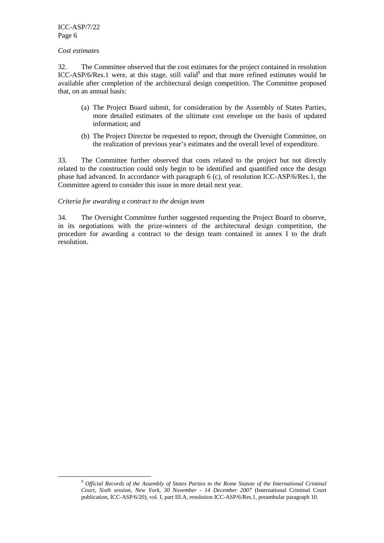ICC-ASP/7/22 Page 6

#### *Cost estimates*

 $\overline{a}$ 

32. The Committee observed that the cost estimates for the project contained in resolution ICC-ASP/6/Res.1 were, at this stage, still valid<sup>9</sup> and that more refined estimates would be available after completion of the architectural design competition. The Committee proposed that, on an annual basis:

- (a) The Project Board submit, for consideration by the Assembly of States Parties, more detailed estimates of the ultimate cost envelope on the basis of updated information; and
- (b) The Project Director be requested to report, through the Oversight Committee, on the realization of previous year's estimates and the overall level of expenditure.

33. The Committee further observed that costs related to the project but not directly related to the construction could only begin to be identified and quantified once the design phase had advanced. In accordance with paragraph 6 (c), of resolution ICC-ASP/6/Res.1, the Committee agreed to consider this issue in more detail next year.

#### *Criteria for awarding a contract to the design team*

34. The Oversight Committee further suggested requesting the Project Board to observe, in its negotiations with the prize-winners of the architectural design competition, the procedure for awarding a contract to the design team contained in annex I to the draft resolution.

<sup>9</sup>  *Official Records of the Assembly of States Parties to the Rome Statute of the International Criminal Court, Sixth session, New York, 30 November - 14 December 2007* (International Criminal Court publication, ICC-ASP/6/20), vol. I, part III.A, resolution ICC-ASP/6/Res.1, preambular paragraph 10.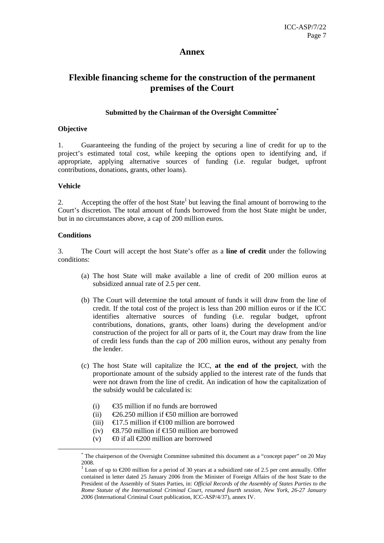# **Annex**

# **Flexible financing scheme for the construction of the permanent premises of the Court**

## **Submitted by the Chairman of the Oversight Committee \***

#### **Objective**

1. Guaranteeing the funding of the project by securing a line of credit for up to the project's estimated total cost, while keeping the options open to identifying and, if appropriate, applying alternative sources of funding (i.e. regular budget, upfront contributions, donations, grants, other loans).

#### **Vehicle**

2. Accepting the offer of the host  $State<sup>1</sup>$  but leaving the final amount of borrowing to the Court's discretion. The total amount of funds borrowed from the host State might be under, but in no circumstances above, a cap of 200 million euros.

#### **Conditions**

 $\overline{a}$ 

3. The Court will accept the host State's offer as a **line of credit** under the following conditions:

- (a) The host State will make available a line of credit of 200 million euros at subsidized annual rate of 2.5 per cent.
- (b) The Court will determine the total amount of funds it will draw from the line of credit. If the total cost of the project is less than 200 million euros or if the ICC identifies alternative sources of funding (i.e. regular budget, upfront contributions, donations, grants, other loans) during the development and/or construction of the project for all or parts of it, the Court may draw from the line of credit less funds than the cap of 200 million euros, without any penalty from the lender.
- (c) The host State will capitalize the ICC, **at the end of the project**, with the proportionate amount of the subsidy applied to the interest rate of the funds that were not drawn from the line of credit. An indication of how the capitalization of the subsidy would be calculated is:
	- (i)  $\epsilon$ 35 million if no funds are borrowed
	- (ii)  $\epsilon$ 26.250 million if  $\epsilon$ 50 million are borrowed
	- (iii)  $\epsilon$ 17.5 million if  $\epsilon$ 100 million are borrowed
	- (iv)  $\epsilon$ 8.750 million if  $\epsilon$ 150 million are borrowed
	- (v)  $\infty$  if all  $\infty$  200 million are borrowed

<sup>\*</sup> The chairperson of the Oversight Committee submitted this document as a "concept paper" on 20 May 2008.

<sup>&</sup>lt;sup>1</sup> Loan of up to €200 million for a period of 30 years at a subsidized rate of 2.5 per cent annually. Offer contained in letter dated 25 January 2006 from the Minister of Foreign Affairs of the host State to the President of the Assembly of States Parties, in: *Official Records of the Assembly of States Parties to the Rome Statute of the International Criminal Court, resumed fourth session, New York, 26-27 January 2006* (International Criminal Court publication, ICC-ASP/4/37), annex IV.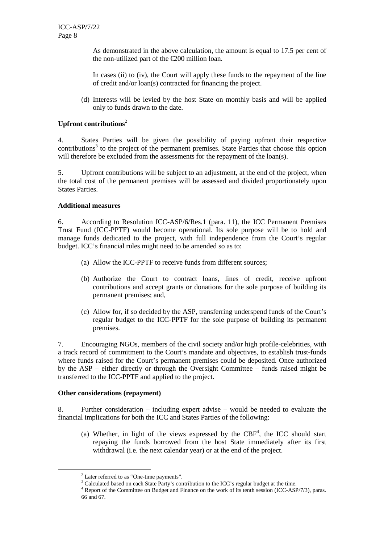As demonstrated in the above calculation, the amount is equal to 17.5 per cent of the non-utilized part of the  $\epsilon$ 200 million loan.

In cases (ii) to (iv), the Court will apply these funds to the repayment of the line of credit and/or loan(s) contracted for financing the project.

(d) Interests will be levied by the host State on monthly basis and will be applied only to funds drawn to the date.

# **Upfront contributions**<sup>2</sup>

4. States Parties will be given the possibility of paying upfront their respective contributions<sup>3</sup> to the project of the permanent premises. State Parties that choose this option will therefore be excluded from the assessments for the repayment of the loan(s).

5. Upfront contributions will be subject to an adjustment, at the end of the project, when the total cost of the permanent premises will be assessed and divided proportionately upon States Parties.

#### **Additional measures**

6. According to Resolution ICC-ASP/6/Res.1 (para. 11), the ICC Permanent Premises Trust Fund (ICC-PPTF) would become operational. Its sole purpose will be to hold and manage funds dedicated to the project, with full independence from the Court's regular budget. ICC's financial rules might need to be amended so as to:

- (a) Allow the ICC-PPTF to receive funds from different sources;
- (b) Authorize the Court to contract loans, lines of credit, receive upfront contributions and accept grants or donations for the sole purpose of building its permanent premises; and,
- (c) Allow for, if so decided by the ASP, transferring underspend funds of the Court's regular budget to the ICC-PPTF for the sole purpose of building its permanent premises.

7. Encouraging NGOs, members of the civil society and/or high profile-celebrities, with a track record of commitment to the Court's mandate and objectives, to establish trust-funds where funds raised for the Court's permanent premises could be deposited. Once authorized by the ASP – either directly or through the Oversight Committee – funds raised might be transferred to the ICC-PPTF and applied to the project.

#### **Other considerations (repayment)**

 $\overline{a}$ 

8. Further consideration – including expert advise – would be needed to evaluate the financial implications for both the ICC and States Parties of the following:

(a) Whether, in light of the views expressed by the  $CBF<sup>4</sup>$ , the ICC should start repaying the funds borrowed from the host State immediately after its first withdrawal (i.e. the next calendar year) or at the end of the project.

<sup>&</sup>lt;sup>2</sup> Later referred to as "One-time payments".

<sup>&</sup>lt;sup>3</sup> Calculated based on each State Party's contribution to the ICC's regular budget at the time.

<sup>4</sup> Report of the Committee on Budget and Finance on the work of its tenth session (ICC-ASP/7/3), paras. 66 and 67.